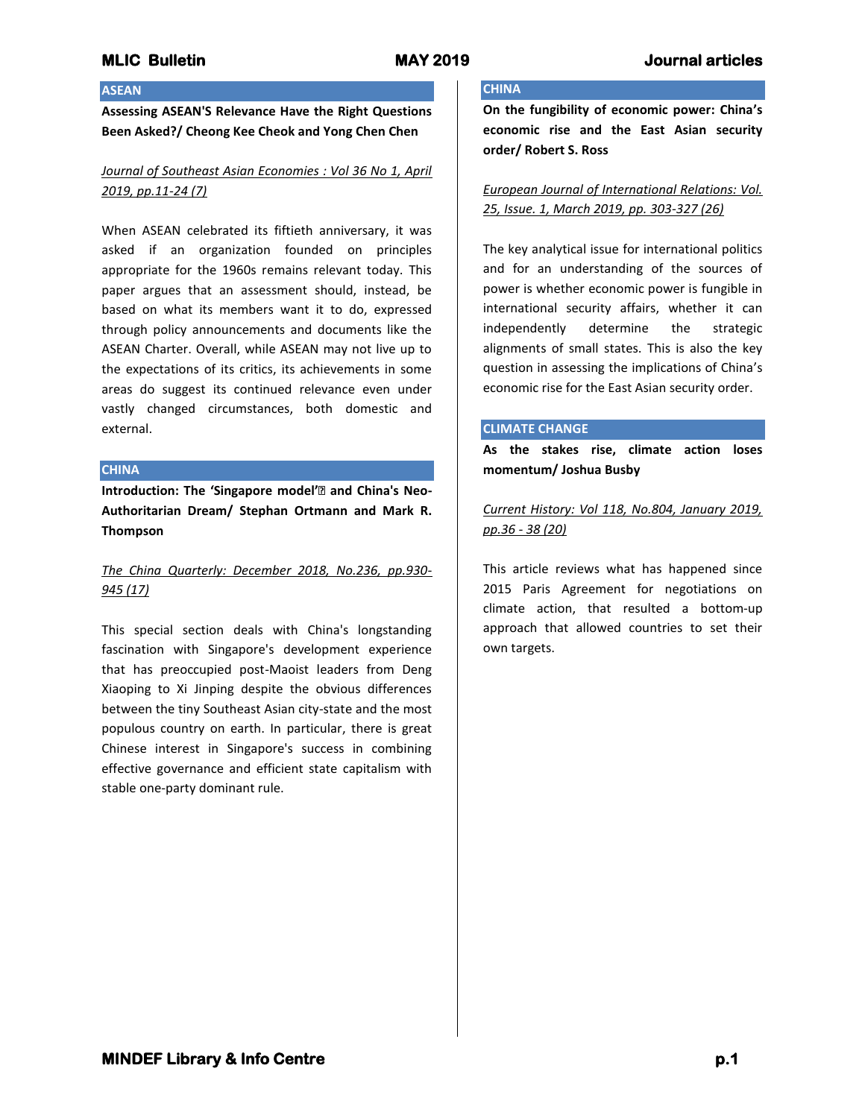## **ASEAN**

**Assessing ASEAN'S Relevance Have the Right Questions Been Asked?/ Cheong Kee Cheok and Yong Chen Chen**

## *Journal of Southeast Asian Economies : Vol 36 No 1, April 2019, pp.11-24 (7)*

When ASEAN celebrated its fiftieth anniversary, it was asked if an organization founded on principles appropriate for the 1960s remains relevant today. This paper argues that an assessment should, instead, be based on what its members want it to do, expressed through policy announcements and documents like the ASEAN Charter. Overall, while ASEAN may not live up to the expectations of its critics, its achievements in some areas do suggest its continued relevance even under vastly changed circumstances, both domestic and external.

## **CHINA**

**Introduction: The 'Singapore model'• and China's Neo-Authoritarian Dream/ Stephan Ortmann and Mark R. Thompson**

## *The China Quarterly: December 2018, No.236, pp.930- 945 (17)*

This special section deals with China's longstanding fascination with Singapore's development experience that has preoccupied post-Maoist leaders from Deng Xiaoping to Xi Jinping despite the obvious differences between the tiny Southeast Asian city-state and the most populous country on earth. In particular, there is great Chinese interest in Singapore's success in combining effective governance and efficient state capitalism with stable one-party dominant rule.

# **CHINA**

**On the fungibility of economic power: China's economic rise and the East Asian security order/ Robert S. Ross**

*European Journal of International Relations: Vol. 25, Issue. 1, March 2019, pp. 303-327 (26)*

The key analytical issue for international politics and for an understanding of the sources of power is whether economic power is fungible in international security affairs, whether it can independently determine the strategic alignments of small states. This is also the key question in assessing the implications of China's economic rise for the East Asian security order.

### **CLIMATE CHANGE**

**As the stakes rise, climate action loses momentum/ Joshua Busby**

*Current History: Vol 118, No.804, January 2019, pp.36 - 38 (20)*

This article reviews what has happened since 2015 Paris Agreement for negotiations on climate action, that resulted a bottom-up approach that allowed countries to set their own targets.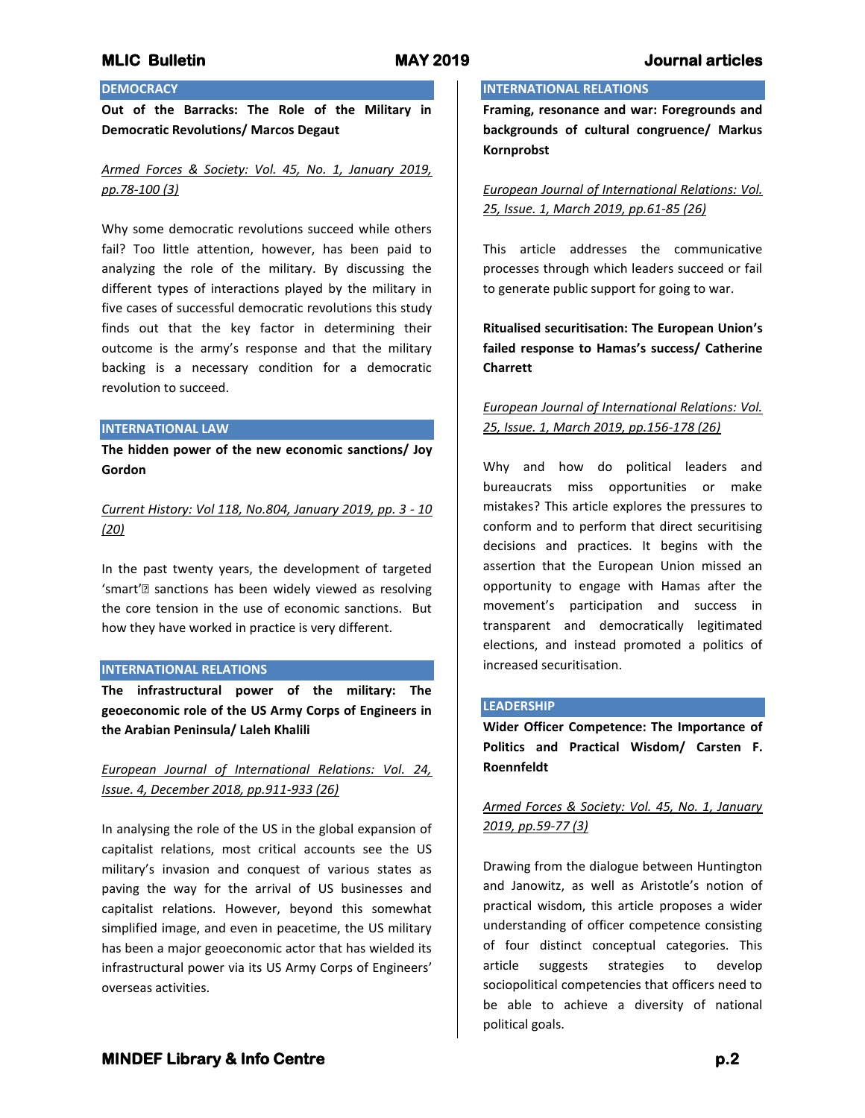## **DEMOCRACY**

**Out of the Barracks: The Role of the Military in Democratic Revolutions/ Marcos Degaut**

*Armed Forces & Society: Vol. 45, No. 1, January 2019, pp.78-100 (3)*

Why some democratic revolutions succeed while others fail? Too little attention, however, has been paid to analyzing the role of the military. By discussing the different types of interactions played by the military in five cases of successful democratic revolutions this study finds out that the key factor in determining their outcome is the army's response and that the military backing is a necessary condition for a democratic revolution to succeed.

#### **INTERNATIONAL LAW**

**The hidden power of the new economic sanctions/ Joy Gordon**

*Current History: Vol 118, No.804, January 2019, pp. 3 - 10 (20)*

In the past twenty years, the development of targeted 'smart'• sanctions has been widely viewed as resolving the core tension in the use of economic sanctions. But how they have worked in practice is very different.

### **INTERNATIONAL RELATIONS**

**The infrastructural power of the military: The geoeconomic role of the US Army Corps of Engineers in the Arabian Peninsula/ Laleh Khalili**

# *European Journal of International Relations: Vol. 24, Issue. 4, December 2018, pp.911-933 (26)*

In analysing the role of the US in the global expansion of capitalist relations, most critical accounts see the US military's invasion and conquest of various states as paving the way for the arrival of US businesses and capitalist relations. However, beyond this somewhat simplified image, and even in peacetime, the US military has been a major geoeconomic actor that has wielded its infrastructural power via its US Army Corps of Engineers' overseas activities.

## **INTERNATIONAL RELATIONS**

**Framing, resonance and war: Foregrounds and backgrounds of cultural congruence/ Markus Kornprobst**

*European Journal of International Relations: Vol. 25, Issue. 1, March 2019, pp.61-85 (26)*

This article addresses the communicative processes through which leaders succeed or fail to generate public support for going to war.

**Ritualised securitisation: The European Union's failed response to Hamas's success/ Catherine Charrett**

# *European Journal of International Relations: Vol. 25, Issue. 1, March 2019, pp.156-178 (26)*

Why and how do political leaders and bureaucrats miss opportunities or make mistakes? This article explores the pressures to conform and to perform that direct securitising decisions and practices. It begins with the assertion that the European Union missed an opportunity to engage with Hamas after the movement's participation and success in transparent and democratically legitimated elections, and instead promoted a politics of increased securitisation.

### **LEADERSHIP**

**Wider Officer Competence: The Importance of Politics and Practical Wisdom/ Carsten F. Roennfeldt**

# *Armed Forces & Society: Vol. 45, No. 1, January 2019, pp.59-77 (3)*

Drawing from the dialogue between Huntington and Janowitz, as well as Aristotle's notion of practical wisdom, this article proposes a wider understanding of officer competence consisting of four distinct conceptual categories. This article suggests strategies to develop sociopolitical competencies that officers need to be able to achieve a diversity of national political goals.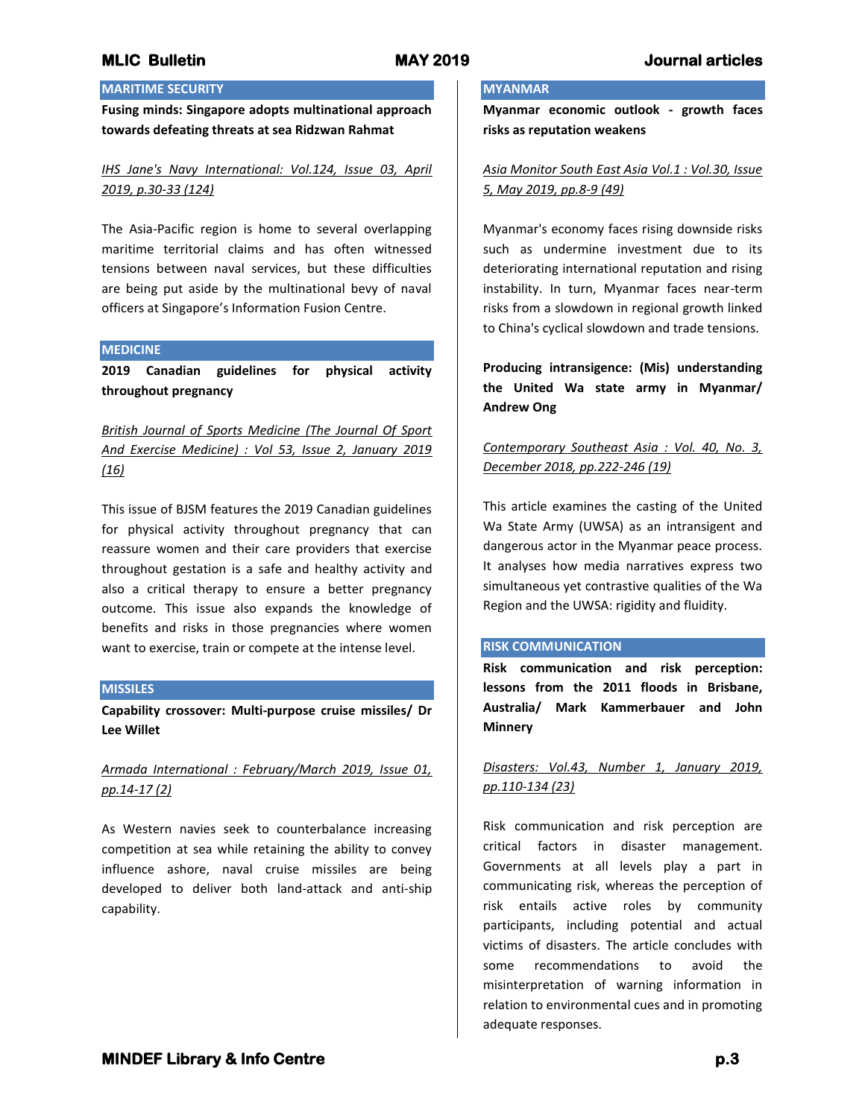## **MARITIME SECURITY**

**Fusing minds: Singapore adopts multinational approach towards defeating threats at sea Ridzwan Rahmat**

*IHS Jane's Navy International: Vol.124, Issue 03, April 2019, p.30-33 (124)*

The Asia-Pacific region is home to several overlapping maritime territorial claims and has often witnessed tensions between naval services, but these difficulties are being put aside by the multinational bevy of naval officers at Singapore's Information Fusion Centre.

## **MEDICINE**

**2019 Canadian guidelines for physical activity throughout pregnancy**

*British Journal of Sports Medicine (The Journal Of Sport And Exercise Medicine) : Vol 53, Issue 2, January 2019 (16)*

This issue of BJSM features the 2019 Canadian guidelines for physical activity throughout pregnancy that can reassure women and their care providers that exercise throughout gestation is a safe and healthy activity and also a critical therapy to ensure a better pregnancy outcome. This issue also expands the knowledge of benefits and risks in those pregnancies where women want to exercise, train or compete at the intense level.

### **MISSILES**

**Capability crossover: Multi-purpose cruise missiles/ Dr Lee Willet**

# *Armada International : February/March 2019, Issue 01, pp.14-17 (2)*

As Western navies seek to counterbalance increasing competition at sea while retaining the ability to convey influence ashore, naval cruise missiles are being developed to deliver both land-attack and anti-ship capability.

# **MYANMAR**

**Myanmar economic outlook - growth faces risks as reputation weakens**

*Asia Monitor South East Asia Vol.1 : Vol.30, Issue 5, May 2019, pp.8-9 (49)*

Myanmar's economy faces rising downside risks such as undermine investment due to its deteriorating international reputation and rising instability. In turn, Myanmar faces near-term risks from a slowdown in regional growth linked to China's cyclical slowdown and trade tensions.

**Producing intransigence: (Mis) understanding the United Wa state army in Myanmar/ Andrew Ong**

## *Contemporary Southeast Asia : Vol. 40, No. 3, December 2018, pp.222-246 (19)*

This article examines the casting of the United Wa State Army (UWSA) as an intransigent and dangerous actor in the Myanmar peace process. It analyses how media narratives express two simultaneous yet contrastive qualities of the Wa Region and the UWSA: rigidity and fluidity.

## **RISK COMMUNICATION**

**Risk communication and risk perception: lessons from the 2011 floods in Brisbane, Australia/ Mark Kammerbauer and John Minnery** 

*Disasters: Vol.43, Number 1, January 2019, pp.110-134 (23)*

Risk communication and risk perception are critical factors in disaster management. Governments at all levels play a part in communicating risk, whereas the perception of risk entails active roles by community participants, including potential and actual victims of disasters. The article concludes with some recommendations to avoid the misinterpretation of warning information in relation to environmental cues and in promoting adequate responses.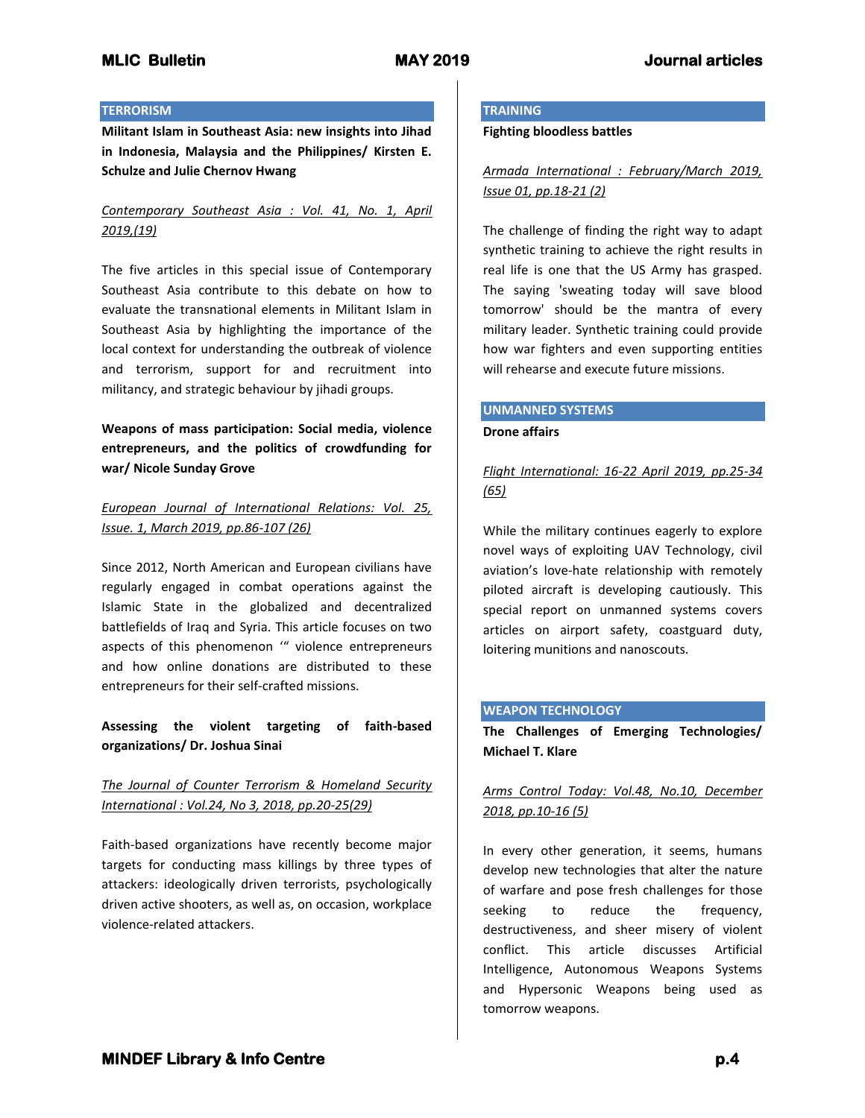## **TERRORISM**

**Militant Islam in Southeast Asia: new insights into Jihad in Indonesia, Malaysia and the Philippines/ Kirsten E. Schulze and Julie Chernov Hwang**

## *Contemporary Southeast Asia : Vol. 41, No. 1, April 2019,(19)*

The five articles in this special issue of Contemporary Southeast Asia contribute to this debate on how to evaluate the transnational elements in Militant Islam in Southeast Asia by highlighting the importance of the local context for understanding the outbreak of violence and terrorism, support for and recruitment into militancy, and strategic behaviour by jihadi groups.

# **Weapons of mass participation: Social media, violence entrepreneurs, and the politics of crowdfunding for war/ Nicole Sunday Grove**

*European Journal of International Relations: Vol. 25, Issue. 1, March 2019, pp.86-107 (26)*

Since 2012, North American and European civilians have regularly engaged in combat operations against the Islamic State in the globalized and decentralized battlefields of Iraq and Syria. This article focuses on two aspects of this phenomenon '" violence entrepreneurs and how online donations are distributed to these entrepreneurs for their self-crafted missions.

# **Assessing the violent targeting of faith-based organizations/ Dr. Joshua Sinai**

# *The Journal of Counter Terrorism & Homeland Security International : Vol.24, No 3, 2018, pp.20-25(29)*

Faith-based organizations have recently become major targets for conducting mass killings by three types of attackers: ideologically driven terrorists, psychologically driven active shooters, as well as, on occasion, workplace violence-related attackers.

## **TRAINING**

**Fighting bloodless battles**

# *Armada International : February/March 2019, Issue 01, pp.18-21 (2)*

The challenge of finding the right way to adapt synthetic training to achieve the right results in real life is one that the US Army has grasped. The saying 'sweating today will save blood tomorrow' should be the mantra of every military leader. Synthetic training could provide how war fighters and even supporting entities will rehearse and execute future missions.

### **UNMANNED SYSTEMS**

### **Drone affairs**

*Flight International: 16-22 April 2019, pp.25-34 (65)*

While the military continues eagerly to explore novel ways of exploiting UAV Technology, civil aviation's love-hate relationship with remotely piloted aircraft is developing cautiously. This special report on unmanned systems covers articles on airport safety, coastguard duty, loitering munitions and nanoscouts.

## **WEAPON TECHNOLOGY**

**The Challenges of Emerging Technologies/ Michael T. Klare**

# *Arms Control Today: Vol.48, No.10, December 2018, pp.10-16 (5)*

In every other generation, it seems, humans develop new technologies that alter the nature of warfare and pose fresh challenges for those seeking to reduce the frequency, destructiveness, and sheer misery of violent conflict. This article discusses Artificial Intelligence, Autonomous Weapons Systems and Hypersonic Weapons being used as tomorrow weapons.